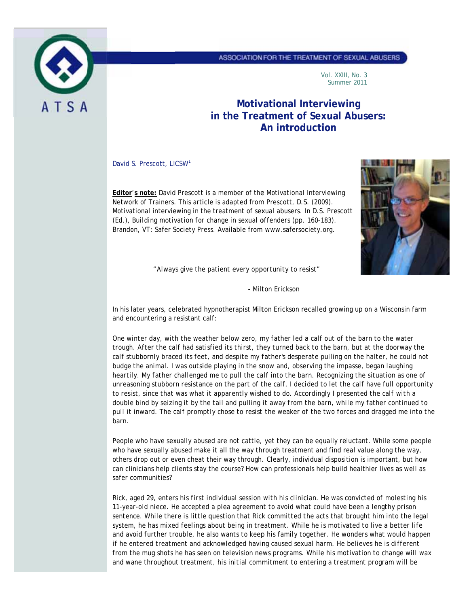

Vol. XXIII, No. 3 Summer 2011

# **Motivational Interviewing** in the Treatment of Sexual Abusers: An introduction

David S. Prescott, LICSW<sup>1</sup>

Editor's note: David Prescott is a member of the Motivational Interviewing Network of Trainers. This article is adapted from Prescott, D.S. (2009). Motivational interviewing in the treatment of sexual abusers. In D.S. Prescott (Ed.), Building motivation for change in sexual offenders (pp. 160-183). Brandon, VT: Safer Society Press. Available from www.safersociety.org.



"Always give the patient every opportunity to resist"

- Milton Erickson

In his later years, celebrated hypnotherapist Milton Erickson recalled growing up on a Wisconsin farm and encountering a resistant calf:

One winter day, with the weather below zero, my father led a calf out of the barn to the water trough. After the calf had satisfied its thirst, they turned back to the barn, but at the doorway the calf stubbornly braced its feet, and despite my father's desperate pulling on the halter, he could not budge the animal. I was outside playing in the snow and, observing the impasse, began laughing heartily. My father challenged me to pull the calf into the barn. Recognizing the situation as one of unreasoning stubborn resistance on the part of the calf, I decided to let the calf have full opportunity to resist, since that was what it apparently wished to do. Accordingly I presented the calf with a double bind by seizing it by the tail and pulling it away from the barn, while my father continued to pull it inward. The calf promptly chose to resist the weaker of the two forces and dragged me into the barn.

People who have sexually abused are not cattle, yet they can be equally reluctant. While some people who have sexually abused make it all the way through treatment and find real value along the way, others drop out or even cheat their way through. Clearly, individual disposition is important, but how can clinicians help clients stay the course? How can professionals help build healthier lives as well as safer communities?

Rick, aged 29, enters his first individual session with his clinician. He was convicted of molesting his 11-year-old niece. He accepted a plea agreement to avoid what could have been a lengthy prison sentence. While there is little question that Rick committed the acts that brought him into the legal system, he has mixed feelings about being in treatment. While he is motivated to live a better life and avoid further trouble, he also wants to keep his family together. He wonders what would happen if he entered treatment and acknowledged having caused sexual harm. He believes he is different from the mug shots he has seen on television news programs. While his motivation to change will wax and wane throughout treatment, his initial commitment to entering a treatment program will be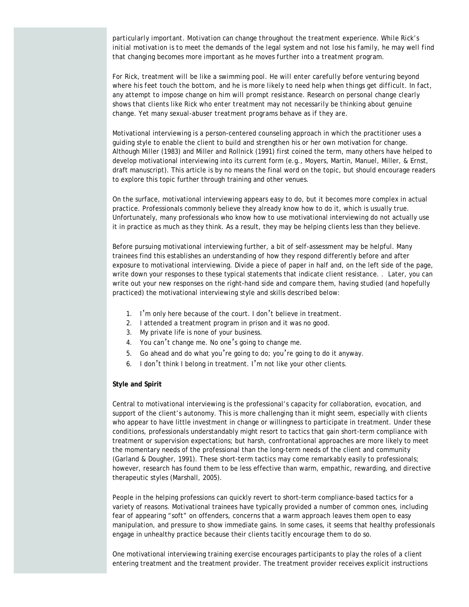*particularly important. Motivation can change throughout the treatment experience. While Rick*'*s initial motivation is to meet the demands of the legal system and not lose his family, he may well find that changing becomes more important as he moves further into a treatment program.* 

For Rick, treatment will be like a swimming pool. He will enter carefully before venturing beyond *where his feet touch the bottom, and he is more likely to need help when things get difficult. In fact, any attempt to impose change on him will prompt resistance. Research on personal change clearly shows that clients like Rick who enter treatment may not necessarily be thinking about genuine change. Yet many sexual-abuser treatment programs behave as if they are.*

Motivational interviewing is a person-centered counseling approach in which the practitioner uses a guiding style to enable the client to build and strengthen his or her own motivation for change. Although Miller (1983) and Miller and Rollnick (1991) first coined the term, many others have helped to develop motivational interviewing into its current form (e.g., Moyers, Martin, Manuel, Miller, & Ernst, draft manuscript). This article is by no means the final word on the topic, but should encourage readers to explore this topic further through training and other venues.

On the surface, motivational interviewing appears easy to do, but it becomes more complex in actual practice. Professionals commonly believe they already know how to do it, which is usually true. Unfortunately, many professionals who know how to use motivational interviewing do not actually use it in practice as much as they think. As a result, they may be helping clients less than they believe.

Before pursuing motivational interviewing further, a bit of self-assessment may be helpful. Many trainees find this establishes an understanding of how they respond differently before and after exposure to motivational interviewing. Divide a piece of paper in half and, on the left side of the page, write down your responses to these typical statements that indicate client resistance. . Later, you can write out your new responses on the right-hand side and compare them, having studied (and hopefully practiced) the motivational interviewing style and skills described below:

- 1. I'm only here because of the court. I don't believe in treatment.
- 2. I attended a treatment program in prison and it was no good.
- 3. My private life is none of your business.
- 4. You can't change me. No one's going to change me.
- 5. Go ahead and do what you're going to do; you're going to do it anyway.
- 6. I don't think I belong in treatment. I'm not like your other clients.

## **Style and Spirit**

Central to motivational interviewing is the professional's capacity for collaboration, evocation, and support of the client's autonomy. This is more challenging than it might seem, especially with clients who appear to have little investment in change or willingness to participate in treatment. Under these conditions, professionals understandably might resort to tactics that gain short-term compliance with treatment or supervision expectations; but harsh, confrontational approaches are more likely to meet the momentary needs of the professional than the long-term needs of the client and community (Garland & Dougher, 1991). These short-term tactics may come remarkably easily to professionals; however, research has found them to be less effective than warm, empathic, rewarding, and directive therapeutic styles (Marshall, 2005).

People in the helping professions can quickly revert to short-term compliance-based tactics for a variety of reasons. Motivational trainees have typically provided a number of common ones, including fear of appearing "soft" on offenders, concerns that a warm approach leaves them open to easy manipulation, and pressure to show immediate gains. In some cases, it seems that healthy professionals engage in unhealthy practice because their clients tacitly encourage them to do so.

One motivational interviewing training exercise encourages participants to play the roles of a client entering treatment and the treatment provider. The treatment provider receives explicit instructions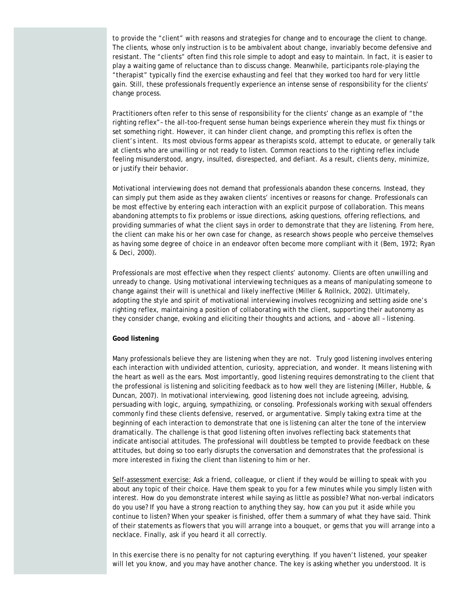to provide the "client" with reasons and strategies for change and to encourage the client to change. The clients, whose only instruction is to be ambivalent about change, invariably become defensive and resistant. The "clients" often find this role simple to adopt and easy to maintain. In fact, it is easier to play a waiting game of reluctance than to discuss change. Meanwhile, participants role-playing the "therapist" typically find the exercise exhausting and feel that they worked too hard for very little gain. Still, these professionals frequently experience an intense sense of responsibility for the clients' change process.

Practitioners often refer to this sense of responsibility for the clients' change as an example of "the righting reflex"– the all-too-frequent sense human beings experience wherein they must fix things or set something right. However, it can hinder client change, and prompting this reflex is often the client's intent. Its most obvious forms appear as therapists scold, attempt to educate, or generally talk at clients who are unwilling or not ready to listen. Common reactions to the righting reflex include feeling misunderstood, angry, insulted, disrespected, and defiant. As a result, clients deny, minimize, or justify their behavior.

Motivational interviewing does not demand that professionals abandon these concerns. Instead, they can simply put them aside as they awaken clients' incentives or reasons for change. Professionals can be most effective by entering each interaction with an explicit purpose of collaboration. This means abandoning attempts to fix problems or issue directions, asking questions, offering reflections, and providing summaries of what the client says in order to demonstrate that they are listening. From here, the client can make his or her own case for change, as research shows people who perceive themselves as having some degree of choice in an endeavor often become more compliant with it (Bem, 1972; Ryan & Deci, 2000).

Professionals are most effective when they respect clients' autonomy. Clients are often unwilling and unready to change. Using motivational interviewing techniques as a means of manipulating someone to change against their will is unethical and likely ineffective (Miller & Rollnick, 2002). Ultimately, adopting the style and spirit of motivational interviewing involves recognizing and setting aside one's righting reflex, maintaining a position of collaborating with the client, supporting their autonomy as they consider change, evoking and eliciting their thoughts and actions, and – above all – listening.

### **Good listening**

Many professionals believe they are listening when they are not. Truly good listening involves entering each interaction with undivided attention, curiosity, appreciation, and wonder. It means listening with the heart as well as the ears. Most importantly, good listening requires demonstrating to the client that the professional is listening and soliciting feedback as to how well they are listening (Miller, Hubble, & Duncan, 2007). In motivational interviewing, good listening does not include agreeing, advising, persuading with logic, arguing, sympathizing, or consoling. Professionals working with sexual offenders commonly find these clients defensive, reserved, or argumentative. Simply taking extra time at the beginning of each interaction to demonstrate that one is listening can alter the tone of the interview dramatically. The challenge is that good listening often involves reflecting back statements that indicate antisocial attitudes. The professional will doubtless be tempted to provide feedback on these attitudes, but doing so too early disrupts the conversation and demonstrates that the professional is more interested in fixing the client than listening to him or her.

Self-assessment exercise: Ask a friend, colleague, or client if they would be willing to speak with you about any topic of their choice. Have them speak to you for a few minutes while you simply listen with interest. How do you demonstrate interest while saying as little as possible? What non-verbal indicators do you use? If you have a strong reaction to anything they say, how can you put it aside while you continue to listen? When your speaker is finished, offer them a summary of what they have said. Think of their statements as flowers that you will arrange into a bouquet, or gems that you will arrange into a necklace. Finally, ask if you heard it all correctly.

In this exercise there is no penalty for not capturing everything. If you haven't listened, your speaker will let you know, and you may have another chance. The key is asking whether you understood. It is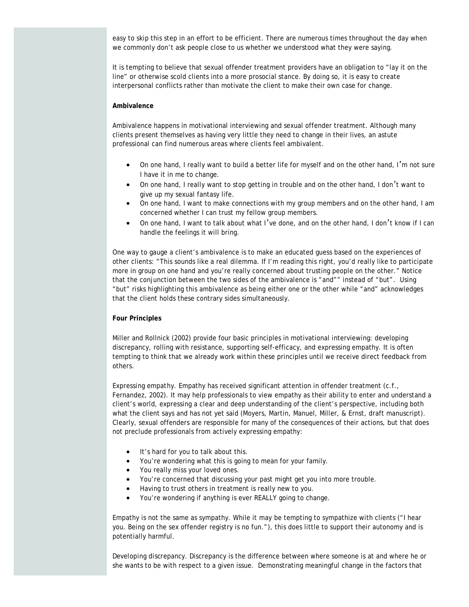easy to skip this step in an effort to be efficient. There are numerous times throughout the day when we commonly don't ask people close to us whether we understood what they were saying.

It is tempting to believe that sexual offender treatment providers have an obligation to "lay it on the line" or otherwise scold clients into a more prosocial stance. By doing so, it is easy to create interpersonal conflicts rather than motivate the client to make their own case for change.

## **Ambivalence**

Ambivalence happens in motivational interviewing and sexual offender treatment. Although many clients present themselves as having very little they need to change in their lives, an astute professional can find numerous areas where clients feel ambivalent.

- On one hand, I really want to build a better life for myself and on the other hand, I'm not sure I have it in me to change.
- On one hand, I really want to stop getting in trouble and on the other hand, I don't want to give up my sexual fantasy life.
- On one hand, I want to make connections with my group members and on the other hand, I am concerned whether I can trust my fellow group members.
- On one hand, I want to talk about what I've done, and on the other hand, I don't know if I can handle the feelings it will bring.

One way to gauge a client's ambivalence is to make an educated guess based on the experiences of other clients: "This sounds like a real dilemma. If I'm reading this right, you'd really like to participate more in group on one hand and you're really concerned about trusting people on the other." Notice that the conjunction between the two sides of the ambivalence is "and"" instead of "but". Using "but" risks highlighting this ambivalence as being either one or the other while "and" acknowledges that the client holds these contrary sides simultaneously.

#### **Four Principles**

Miller and Rollnick (2002) provide four basic principles in motivational interviewing: developing discrepancy, rolling with resistance, supporting self-efficacy, and expressing empathy. It is often tempting to think that we already work within these principles until we receive direct feedback from others.

*Expressing empathy*. Empathy has received significant attention in offender treatment (c.f., Fernandez, 2002). It may help professionals to view empathy as their ability to enter and understand a client's world, expressing a clear and deep understanding of the client's perspective, including both what the client says and has not yet said (Moyers, Martin, Manuel, Miller, & Ernst, draft manuscript). Clearly, sexual offenders are responsible for many of the consequences of their actions, but that does not preclude professionals from actively expressing empathy:

- It's hard for you to talk about this.
- You're wondering what this is going to mean for your family.
- You really miss your loved ones.
- You're concerned that discussing your past might get you into more trouble.
- Having to trust others in treatment is really new to you.
- You're wondering if anything is ever REALLY going to change.

Empathy is not the same as sympathy. While it may be tempting to sympathize with clients ("I hear you. Being on the sex offender registry is no fun."), this does little to support their autonomy and is potentially harmful.

*Developing discrepancy*. Discrepancy is the difference between where someone is at and where he or she wants to be with respect to a given issue. Demonstrating meaningful change in the factors that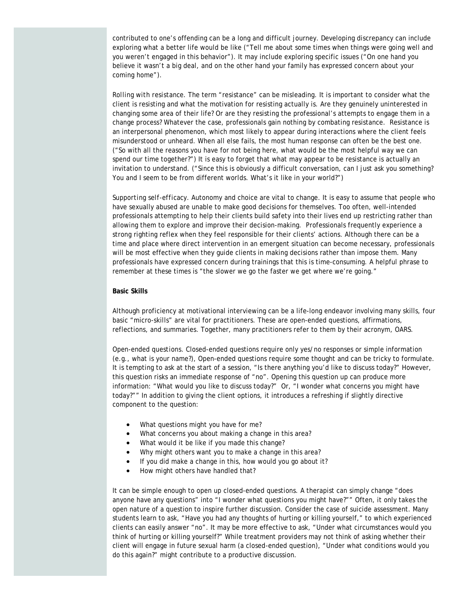contributed to one's offending can be a long and difficult journey. Developing discrepancy can include exploring what a better life would be like ("Tell me about some times when things were going well and you weren't engaged in this behavior"). It may include exploring specific issues ("On one hand you believe it wasn't a big deal, and on the other hand your family has expressed concern about your coming home").

*Rolling with resistance*. The term "resistance" can be misleading. It is important to consider what the client is resisting and what the motivation for resisting actually is. Are they genuinely uninterested in changing some area of their life? Or are they resisting the professional's attempts to engage them in a change process? Whatever the case, professionals gain nothing by combating resistance. Resistance is an interpersonal phenomenon, which most likely to appear during interactions where the client feels misunderstood or unheard. When all else fails, the most human response can often be the best one. ("So with all the reasons you have for not being here, what would be the most helpful way we can spend our time together?") It is easy to forget that what may appear to be resistance is actually an invitation to understand. ("Since this is obviously a difficult conversation, can I just ask you something? You and I seem to be from different worlds. What's it like in your world?")

*Supporting self-efficacy*. Autonomy and choice are vital to change. It is easy to assume that people who have sexually abused are unable to make good decisions for themselves. Too often, well-intended professionals attempting to help their clients build safety into their lives end up restricting rather than allowing them to explore and improve their decision-making. Professionals frequently experience a strong righting reflex when they feel responsible for their clients' actions. Although there can be a time and place where direct intervention in an emergent situation can become necessary, professionals will be most effective when they guide clients in making decisions rather than impose them. Many professionals have expressed concern during trainings that this is time-consuming. A helpful phrase to remember at these times is "the slower we go the faster we get where we're going."

#### **Basic Skills**

Although proficiency at motivational interviewing can be a life-long endeavor involving many skills, four basic "micro-skills" are vital for practitioners. These are open-ended questions, affirmations, reflections, and summaries. Together, many practitioners refer to them by their acronym, OARS.

*Open-ended questions*. Closed-ended questions require only yes/no responses or simple information (e.g., what is your name?), Open-ended questions require some thought and can be tricky to formulate. It is tempting to ask at the start of a session, "Is there anything you'd like to discuss today?" However, this question risks an immediate response of "no". Opening this question up can produce more information: "What would you like to discuss today?" Or, "I wonder what concerns you might have today?"" In addition to giving the client options, it introduces a refreshing if slightly directive component to the question:

- What questions might you have for me?
- What concerns you about making a change in this area?
- What would it be like if you made this change?
- Why might others want you to make a change in this area?
- If you did make a change in this, how would you go about it?
- How might others have handled that?

It can be simple enough to open up closed-ended questions. A therapist can simply change "does anyone have any questions" into "I wonder what questions you might have?"" Often, it only takes the open nature of a question to inspire further discussion. Consider the case of suicide assessment. Many students learn to ask, "Have you had any thoughts of hurting or killing yourself," to which experienced clients can easily answer "no". It may be more effective to ask, "Under what circumstances would you think of hurting or killing yourself?" While treatment providers may not think of asking whether their client will engage in future sexual harm (a closed-ended question), "Under what conditions would you do this again?" might contribute to a productive discussion.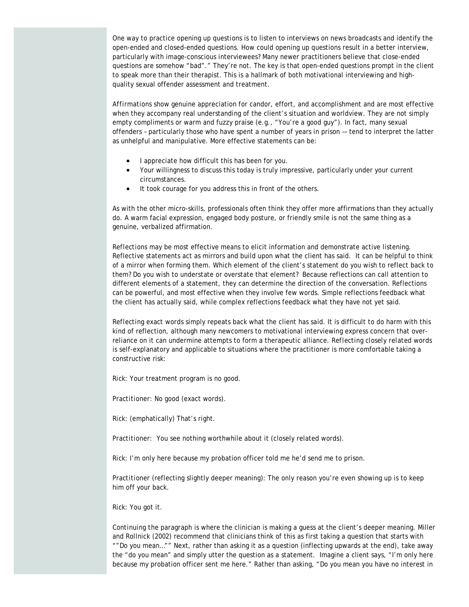One way to practice opening up questions is to listen to interviews on news broadcasts and identify the open-ended and closed-ended questions. How could opening up questions result in a better interview, particularly with image-conscious interviewees? Many newer practitioners believe that close-ended questions are somehow "bad"." They're not. The key is that open-ended questions prompt in the client to speak more than their therapist. This is a hallmark of both motivational interviewing and highquality sexual offender assessment and treatment.

*Affirmations* show genuine appreciation for candor, effort, and accomplishment and are most effective when they accompany real understanding of the client's situation and worldview. They are not simply empty compliments or warm and fuzzy praise (e.g., "You're a good guy"). In fact, many sexual offenders – particularly those who have spent a number of years in prison –– tend to interpret the latter as unhelpful and manipulative. More effective statements can be:

- I appreciate how difficult this has been for you.
- Your willingness to discuss this today is truly impressive, particularly under your current circumstances.
- It took courage for you address this in front of the others.

As with the other micro-skills, professionals often think they offer more affirmations than they actually do. A warm facial expression, engaged body posture, or friendly smile is not the same thing as a genuine, verbalized affirmation.

*Reflections* may be most effective means to elicit information and demonstrate active listening. Reflective statements act as mirrors and build upon what the client has said. It can be helpful to think of a mirror when forming them. Which element of the client's statement do you wish to reflect back to them? Do you wish to understate or overstate that element? Because reflections can call attention to different elements of a statement, they can determine the direction of the conversation. Reflections can be powerful, and most effective when they involve few words. Simple reflections feedback what the client has actually said, while complex reflections feedback what they have not yet said.

*Reflecting exact words* simply repeats back what the client has said. It is difficult to do harm with this kind of reflection, although many newcomers to motivational interviewing express concern that overreliance on it can undermine attempts to form a therapeutic alliance. *Reflecting closely related words* is self-explanatory and applicable to situations where the practitioner is more comfortable taking a constructive risk:

*Rick:* Your treatment program is no good.

*Practitioner:* No good (exact words).

*Rick:* (emphatically) That's right.

*Practitioner:* You see nothing worthwhile about it (closely related words).

*Rick:* I'm only here because my probation officer told me he'd send me to prison.

*Practitioner* (reflecting slightly deeper meaning): The only reason you're even showing up is to keep him off your back.

*Rick:* You got it.

*Continuing the paragraph* is where the clinician is making a guess at the client's deeper meaning. Miller and Rollnick (2002) recommend that clinicians think of this as first taking a question that starts with ""Do you mean…"" Next, rather than asking it as a question (inflecting upwards at the end), take away the "do you mean" and simply utter the question as a statement. Imagine a client says, "I'm only here because my probation officer sent me here." Rather than asking, "Do you mean you have no interest in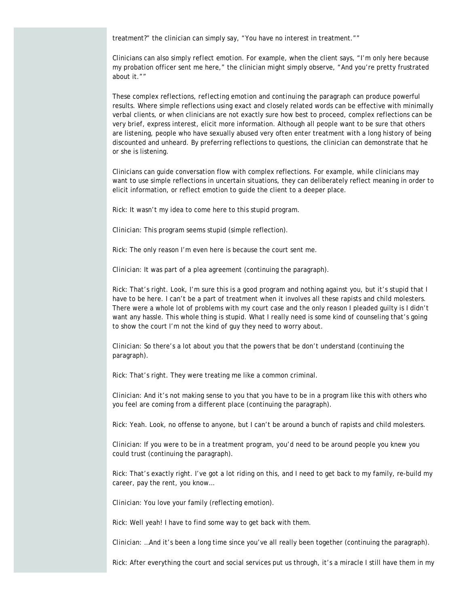treatment?" the clinician can simply say, "You have no interest in treatment.""

Clinicians can also simply *reflect emotion.* For example, when the client says, "I'm only here because my probation officer sent me here," the clinician might simply observe, "And you're pretty frustrated about it.""

These complex reflections, *reflecting emotion* and *continuing the paragraph* can produce powerful results. Where simple reflections using exact and closely related words can be effective with minimally verbal clients, or when clinicians are not exactly sure how best to proceed, complex reflections can be very brief, express interest, elicit more information. Although all people want to be sure that others are listening, people who have sexually abused very often enter treatment with a long history of being discounted and unheard. By preferring reflections to questions, the clinician can demonstrate that he or she is listening.

Clinicians can guide conversation flow with complex reflections. For example, while clinicians may want to use simple reflections in uncertain situations, they can deliberately reflect meaning in order to elicit information, or reflect emotion to guide the client to a deeper place.

*Rick:* It wasn't my idea to come here to this stupid program.

*Clinician:* This program seems stupid (simple reflection).

*Rick:* The only reason I'm even here is because the court sent me.

*Clinician:* It was part of a plea agreement (continuing the paragraph).

*Rick:* That's right. Look, I'm sure this is a good program and nothing against you, but it's stupid that I have to be here. I can't be a part of treatment when it involves all these rapists and child molesters. There were a whole lot of problems with my court case and the only reason I pleaded guilty is I didn't want any hassle. This whole thing is stupid. What I really need is some kind of counseling that's going to show the court I'm not the kind of guy they need to worry about.

*Clinician:* So there's a lot about you that the powers that be don't understand (continuing the paragraph).

*Rick:* That's right. They were treating me like a common criminal.

*Clinician:* And it's not making sense to you that you have to be in a program like this with others who you feel are coming from a different place (continuing the paragraph).

*Rick:* Yeah. Look, no offense to anyone, but I can't be around a bunch of rapists and child molesters.

*Clinician:* If you were to be in a treatment program, you'd need to be around people you knew you could trust (continuing the paragraph).

*Rick:* That's exactly right. I've got a lot riding on this, and I need to get back to my family, re-build my career, pay the rent, you know…

*Clinician:* You love your family (reflecting emotion).

*Rick:* Well yeah! I have to find some way to get back with them.

*Clinician:* …And it's been a long time since you've all really been together (continuing the paragraph).

*Rick:* After everything the court and social services put us through, it's a miracle I still have them in my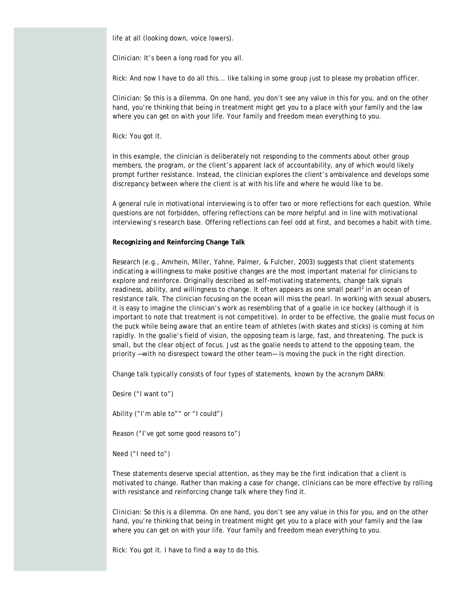life at all (looking down, voice lowers).

*Clinician:* It's been a long road for you all.

*Rick:* And now I have to do all this... like talking in some group just to please my probation officer.

*Clinician:* So this is a dilemma. On one hand, you don't see any value in this for you, and on the other hand, you're thinking that being in treatment might get you to a place with your family and the law where you can get on with your life. Your family and freedom mean everything to you.

*Rick:* You got it.

In this example, the clinician is deliberately not responding to the comments about other group members, the program, or the client's apparent lack of accountability, any of which would likely prompt further resistance. Instead, the clinician explores the client's ambivalence and develops some discrepancy between where the client is at with his life and where he would like to be.

A general rule in motivational interviewing is to offer two or more reflections for each question. While questions are not forbidden, offering reflections can be more helpful and in line with motivational interviewing's research base. Offering reflections can feel odd at first, and becomes a habit with time.

### **Recognizing and Reinforcing Change Talk**

Research (e.g., Amrhein, Miller, Yahne, Palmer, & Fulcher, 2003) suggests that client statements indicating a willingness to make positive changes are the most important material for clinicians to explore and reinforce. Originally described as self-motivating statements, change talk signals readiness, ability, and willingness to change. It often appears as one small pearl<sup>2</sup> in an ocean of resistance talk. The clinician focusing on the ocean will miss the pearl. In working with sexual abusers, it is easy to imagine the clinician's work as resembling that of a goalie in ice hockey (although it is important to note that treatment is not competitive). In order to be effective, the goalie must focus on the puck while being aware that an entire team of athletes (with skates and sticks) is coming at him rapidly. In the goalie's field of vision, the opposing team is large, fast, and threatening. The puck is small, but the clear object of focus. Just as the goalie needs to attend to the opposing team, the priority —with no disrespect toward the other team— is moving the puck in the right direction.

Change talk typically consists of four types of statements, known by the acronym DARN:

Desire ("I want to")

Ability ("I'm able to"" or "I could")

Reason ("I've got some good reasons to")

Need ("I need to")

These statements deserve special attention, as they may be the first indication that a client is motivated to change. Rather than making a case for change, clinicians can be more effective by rolling with resistance and reinforcing change talk where they find it.

*Clinician:* So this is a dilemma. On one hand, you don't see any value in this for you, and on the other hand, you're thinking that being in treatment might get you to a place with your family and the law where you can get on with your life. Your family and freedom mean everything to you.

*Rick:* You got it. I have to find a way to do this.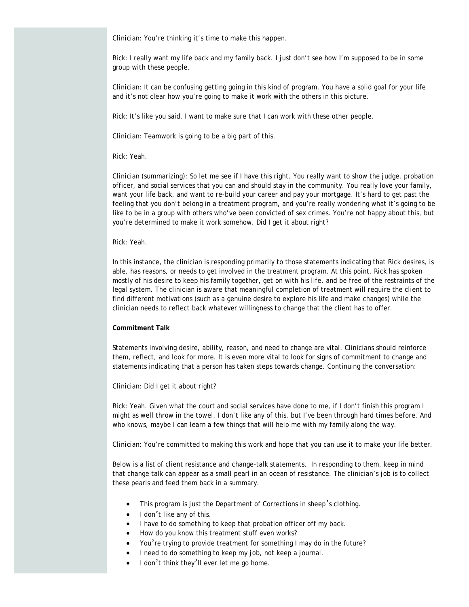*Clinician:* You're thinking it's time to make this happen.

*Rick:* I really want my life back and my family back. I just don't see how I'm supposed to be in some group with these people.

*Clinician:* It can be confusing getting going in this kind of program. You have a solid goal for your life and it's not clear how you're going to make it work with the others in this picture.

*Rick:* It's like you said. I want to make sure that I can work with these other people.

*Clinician:* Teamwork is going to be a big part of this.

## *Rick:* Yeah.

*Clinician* (summarizing): So let me see if I have this right. You really want to show the judge, probation officer, and social services that you can and should stay in the community. You really love your family, want your life back, and want to re-build your career and pay your mortgage. It's hard to get past the feeling that you don't belong in a treatment program, and you're really wondering what it's going to be like to be in a group with others who've been convicted of sex crimes. You're not happy about this, but you're determined to make it work somehow. Did I get it about right?

## *Rick:* Yeah.

In this instance, the clinician is responding primarily to those statements indicating that Rick desires, is able, has reasons, or needs to get involved in the treatment program. At this point, Rick has spoken mostly of his desire to keep his family together, get on with his life, and be free of the restraints of the legal system. The clinician is aware that meaningful completion of treatment will require the client to find different motivations (such as a genuine desire to explore his life and make changes) while the clinician needs to reflect back whatever willingness to change that the client has to offer.

## **Commitment Talk**

Statements involving desire, ability, reason, and need to change are vital. Clinicians should reinforce them, reflect, and look for more. It is even more vital to look for signs of commitment to change and statements indicating that a person has taken steps towards change. Continuing the conversation:

#### *Clinician:* Did I get it about right?

*Rick:* Yeah. Given what the court and social services have done to me, if I don't finish this program I might as well throw in the towel. I don't like any of this, but I've been through hard times before. And who knows, maybe I can learn a few things that will help me with my family along the way.

*Clinician:* You're committed to making this work and hope that you can use it to make your life better.

Below is a list of client resistance and change-talk statements. In responding to them, keep in mind that change talk can appear as a small pearl in an ocean of resistance. The clinician's job is to collect these pearls and feed them back in a summary.

- This program is just the Department of Corrections in sheep's clothing.
- I don't like any of this.
- I have to do something to keep that probation officer off my back.
- How do you know this treatment stuff even works?
- You're trying to provide treatment for something I may do in the future?
- I need to do something to keep my job, not keep a journal.
- I don't think they'll ever let me go home.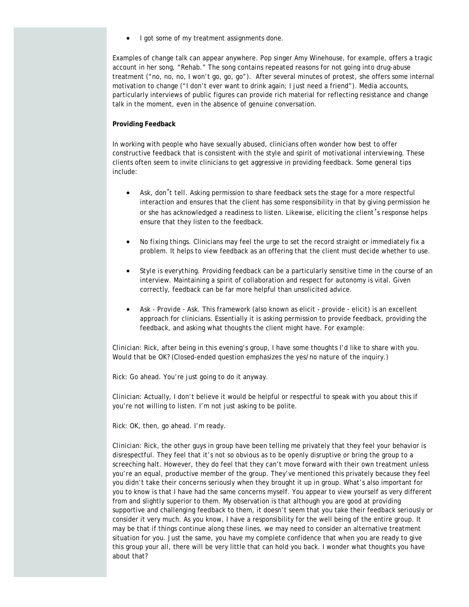I got some of my treatment assignments done.

Examples of change talk can appear anywhere. Pop singer Amy Winehouse, for example, offers a tragic account in her song, "Rehab." The song contains repeated reasons for not going into drug-abuse treatment ("no, no, no, I won't go, go, go"). After several minutes of protest, she offers some internal motivation to change ("I don't ever want to drink again; I just need a friend"). Media accounts, particularly interviews of public figures can provide rich material for reflecting resistance and change talk in the moment, even in the absence of genuine conversation.

## **Providing Feedback**

In working with people who have sexually abused, clinicians often wonder how best to offer constructive feedback that is consistent with the style and spirit of motivational interviewing. These clients often seem to invite clinicians to get aggressive in providing feedback. Some general tips include:

- *Ask, don*'*t tell*. Asking permission to share feedback sets the stage for a more respectful interaction and ensures that the client has some responsibility in that by giving permission he or she has acknowledged a readiness to listen. Likewise, eliciting the client's response helps ensure that they listen to the feedback.
- *No fixing things*. Clinicians may feel the urge to set the record straight or immediately fix a problem. It helps to view feedback as an offering that the client must decide whether to use.
- *Style is everything*. Providing feedback can be a particularly sensitive time in the course of an interview. Maintaining a spirit of collaboration and respect for autonomy is vital. Given correctly, feedback can be far more helpful than unsolicited advice.
- *Ask Provide Ask.* This framework (also known as elicit provide elicit) is an excellent approach for clinicians. Essentially it is asking permission to provide feedback, providing the feedback, and asking what thoughts the client might have. For example:

*Clinician:* Rick, after being in this evening's group, I have some thoughts I'd like to share with you. Would that be OK? (Closed-ended question emphasizes the yes/no nature of the inquiry.)

*Rick:* Go ahead. You're just going to do it anyway.

*Clinician:* Actually, I don't believe it would be helpful or respectful to speak with you about this if you're not willing to listen. I'm not just asking to be polite.

*Rick:* OK, then, go ahead. I'm ready.

*Clinician:* Rick, the other guys in group have been telling me privately that they feel your behavior is disrespectful. They feel that it's not so obvious as to be openly disruptive or bring the group to a screeching halt. However, they do feel that they can't move forward with their own treatment unless you're an equal, productive member of the group. They've mentioned this privately because they feel you didn't take their concerns seriously when they brought it up in group. What's also important for you to know is that I have had the same concerns myself. You appear to view yourself as very different from and slightly superior to them. My observation is that although you are good at providing supportive and challenging feedback to them, it doesn't seem that you take their feedback seriously or consider it very much. As you know, I have a responsibility for the well being of the entire group. It may be that if things continue along these lines, we may need to consider an alternative treatment situation for you. Just the same, you have my complete confidence that when you are ready to give this group your all, there will be very little that can hold you back. I wonder what thoughts you have about that?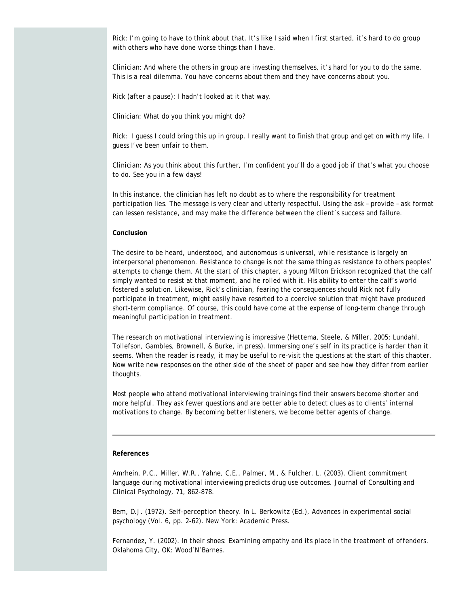*Rick:* I'm going to have to think about that. It's like I said when I first started, it's hard to do group with others who have done worse things than I have.

*Clinician:* And where the others in group are investing themselves, it's hard for you to do the same. This is a real dilemma. You have concerns about them and they have concerns about you.

*Rick* (after a pause): I hadn't looked at it that way.

Clinician: What do you think you might do?

*Rick:* I guess I could bring this up in group. I really want to finish that group and get on with my life. I guess I've been unfair to them.

*Clinician:* As you think about this further, I'm confident you'll do a good job if that's what you choose to do. See you in a few days!

In this instance, the clinician has left no doubt as to where the responsibility for treatment participation lies. The message is very clear and utterly respectful. Using the *ask – provide – ask* format can lessen resistance, and may make the difference between the client's success and failure.

### **Conclusion**

The desire to be heard, understood, and autonomous is universal, while resistance is largely an interpersonal phenomenon. Resistance to change is not the same thing as resistance to others peoples' attempts to change them. At the start of this chapter, a young Milton Erickson recognized that the calf simply wanted to resist at that moment, and he rolled with it. His ability to enter the calf's world fostered a solution. Likewise, Rick's clinician, fearing the consequences should Rick not fully participate in treatment, might easily have resorted to a coercive solution that might have produced short-term compliance. Of course, this could have come at the expense of long-term change through meaningful participation in treatment.

The research on motivational interviewing is impressive (Hettema, Steele, & Miller, 2005; Lundahl, Tollefson, Gambles, Brownell, & Burke, in press). Immersing one's self in its practice is harder than it seems. When the reader is ready, it may be useful to re-visit the questions at the start of this chapter. Now write new responses on the other side of the sheet of paper and see how they differ from earlier thoughts.

Most people who attend motivational interviewing trainings find their answers become shorter and more helpful. They ask fewer questions and are better able to detect clues as to clients' internal motivations to change. By becoming better listeners, we become better agents of change.

#### **References**

Amrhein, P.C., Miller, W.R., Yahne, C.E., Palmer, M., & Fulcher, L. (2003). Client commitment language during motivational interviewing predicts drug use outcomes. *Journal of Consulting and Clinical Psychology, 71*, 862-878.

Bem, D.J. (1972). Self-perception theory. In L. Berkowitz (Ed.), *Advances in experimental social psychology* (Vol. 6, pp. 2-62). New York: Academic Press.

Fernandez, Y. (2002). *In their shoes: Examining empathy and its place in the treatment of offenders*. Oklahoma City, OK: Wood'N'Barnes.